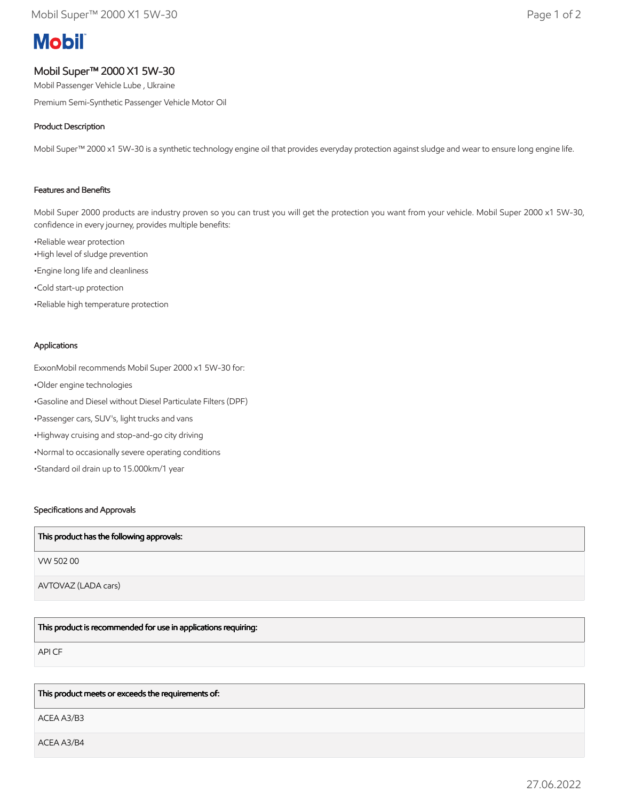# **Mobil**

# Mobil Super™ 2000 X1 5W-30

Mobil Passenger Vehicle Lube , Ukraine

Premium Semi-Synthetic Passenger Vehicle Motor Oil

# Product Description

Mobil Super™ 2000 x1 5W-30 is a synthetic technology engine oil that provides everyday protection against sludge and wear to ensure long engine life.

### Features and Benefits

Mobil Super 2000 products are industry proven so you can trust you will get the protection you want from your vehicle. Mobil Super 2000 x1 5W-30, confidence in every journey, provides multiple benefits:

•Reliable wear protection •High level of sludge prevention •Engine long life and cleanliness •Cold start-up protection •Reliable high temperature protection

#### Applications

ExxonMobil recommends Mobil Super 2000 x1 5W-30 for: •Older engine technologies •Gasoline and Diesel without Diesel Particulate Filters (DPF) •Passenger cars, SUV's, light trucks and vans •Highway cruising and stop-and-go city driving •Normal to occasionally severe operating conditions •Standard oil drain up to 15.000km/1 year

#### Specifications and Approvals

| This product has the following approvals: |
|-------------------------------------------|
| VW 50200                                  |
| AVTOVAZ (LADA cars)                       |

This product is recommended for use in applications requiring:

API CF

#### This product meets or exceeds the requirements of:

ACEA A3/B3

ACEA A3/B4